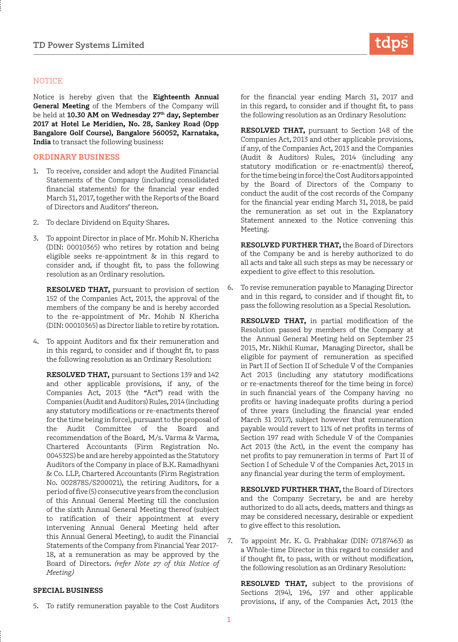## **NOTICE**

Notice is hereby given that the **Eighteenth Annual General Meeting** of the Members of the Company will be held at **10.30 AM on Wednesday 27th day, September 2017 at Hotel Le Meridien, No. 28, Sankey Road (Opp Bangalore Golf Course), Bangalore 560052, Karnataka, India** to transact the following business:

#### **ORDINARY BUSINESS**

- To receive, consider and adopt the Audited Financial Statements of the Company (including consolidated financial statements) for the financial year ended March 31, 2017, together with the Reports of the Board of Directors and Auditors' thereon.
- 2. To declare Dividend on Equity Shares.
- 3. To appoint Director in place of Mr. Mohib N. Khericha (DIN: 00010365) who retires by rotation and being eligible seeks re-appointment & in this regard to consider and, if thought fit, to pass the following resolution as an Ordinary resolution.

**RESOLVED THAT,** pursuant to provision of section 152 of the Companies Act, 2013, the approval of the members of the company be and is hereby accorded to the re-appointment of Mr. Mohib N Khericha (DIN: 00010365) as Director liable to retire by rotation.

4. To appoint Auditors and fix their remuneration and in this regard, to consider and if thought fit, to pass the following resolution as an Ordinary Resolution:

**RESOLVED THAT,** pursuant to Sections 139 and 142 and other applicable provisions, if any, of the Companies Act, 2013 (the "Act") read with the Companies (Audit and Auditors) Rules, 2014 (including any statutory modifications or re-enactments thereof for the time being in force), pursuant to the proposal of the Audit Committee of the Board and recommendation of the Board, M/s. Varma & Varma, Chartered Accountants (Firm Registration No. 004532S) be and are hereby appointed as the Statutory Auditors of the Company in place of B.K. Ramadhyani & Co. LLP, Chartered Accountants (Firm Registration No. 002878S/S200021), the retiring Auditors, for a period of five (5) consecutive years from the conclusion of this Annual General Meeting till the conclusion of the sixth Annual General Meeting thereof (subject to ratification of their appointment at every intervening Annual General Meeting held after this Annual General Meeting), to audit the Financial Statements of the Company from Financial Year 2017- 18, at a remuneration as may be approved by the Board of Directors. *(refer Note 27 of this Notice of Meeting)*

# **SPECIAL BUSINESS**

5. To ratify remuneration payable to the Cost Auditors



for the financial year ending March 31, 2017 and in this regard, to consider and if thought fit, to pass the following resolution as an Ordinary Resolution:

**RESOLVED THAT,** pursuant to Section 148 of the Companies Act, 2013 and other applicable provisions, if any, of the Companies Act, 2013 and the Companies (Audit & Auditors) Rules, 2014 (including any statutory modification or re-enactment(s) thereof, for the time being in force) the Cost Auditors appointed by the Board of Directors of the Company to conduct the audit of the cost records of the Company for the financial year ending March 31, 2018, be paid the remuneration as set out in the Explanatory Statement annexed to the Notice convening this Meeting.

**RESOLVED FURTHER THAT,** the Board of Directors of the Company be and is hereby authorized to do all acts and take all such steps as may be necessary or expedient to give effect to this resolution.

6. To revise remuneration payable to Managing Director and in this regard, to consider and if thought fit, to pass the following resolution as a Special Resolution.

**RESOLVED THAT,** in partial modification of the Resolution passed by members of the Company at the Annual General Meeting held on September 23 2015, Mr. Nikhil Kumar, Managing Director, shall be eligible for payment of remuneration as specified in Part II of Section II of Schedule V of the Companies Act 2013 (including any statutory modifications or re-enactments thereof for the time being in force) in such financial years of the Company having no profits or having inadequate profits during a period of three years (including the financial year ended March 31 2017), subject however that remuneration payable would revert to 11% of net profits in terms of Section 197 read with Schedule V of the Companies Act 2013 (the Act), in the event the company has net profits to pay remuneration in terms of Part II of Section I of Schedule V of the Companies Act, 2013 in any financial year during the term of employment.

**RESOLVED FURTHER THAT,** the Board of Directors and the Company Secretary, be and are hereby authorized to do all acts, deeds, matters and things as may be considered necessary, desirable or expedient to give effect to this resolution.

7. To appoint Mr. K. G. Prabhakar (DIN: 07187463) as a Whole-time Director in this regard to consider and if thought fit, to pass, with or without modification, the following resolution as an Ordinary Resolution:

**RESOLVED THAT,** subject to the provisions of Sections 2(94), 196, 197 and other applicable provisions, if any, of the Companies Act, 2013 (the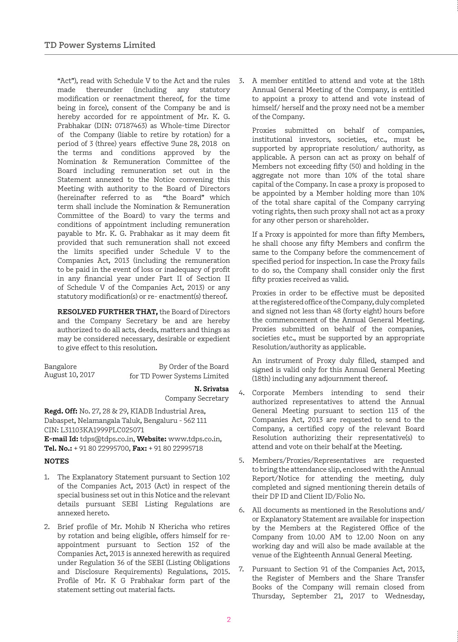made thereunder (including any statutory modification or reenactment thereof, for the time being in force), consent of the Company be and is hereby accorded for re appointment of Mr. K. G. Prabhakar (DIN: 07187463) as Whole-time Director of the Company (liable to retire by rotation) for a period of 3 (three) years effective June 28, 2018 on the terms and conditions approved by the Nomination & Remuneration Committee of the Board including remuneration set out in the Statement annexed to the Notice convening this Meeting with authority to the Board of Directors (hereinafter referred to as "the Board" which term shall include the Nomination & Remuneration Committee of the Board) to vary the terms and conditions of appointment including remuneration payable to Mr. K. G. Prabhakar as it may deem fit provided that such remuneration shall not exceed the limits specified under Schedule V to the Companies Act, 2013 (including the remuneration to be paid in the event of loss or inadequacy of profit in any financial year under Part II of Section II of Schedule V of the Companies Act, 2013) or any statutory modification(s) or re- enactment(s) thereof.

**RESOLVED FURTHER THAT,** the Board of Directors and the Company Secretary be and are hereby authorized to do all acts, deeds, matters and things as may be considered necessary, desirable or expedient to give effect to this resolution.

| Bangalore       | By Order of the Board        |
|-----------------|------------------------------|
| August 10, 2017 | for TD Power Systems Limited |

#### **N. Srivatsa** Company Secretary

**Regd. Off:** No. 27, 28 & 29, KIADB Industrial Area, Dabaspet, Nelamangala Taluk, Bengaluru - 562 111 CIN: L31103KA1999PLC025071

**E-mail Id:** tdps@tdps.co.in, **Website:** www.tdps.co.in, **Tel. No.:** + 91 80 22995700, **Fax:** + 91 80 22995718

## **NOTES**

- 1. The Explanatory Statement pursuant to Section 102 of the Companies Act, 2013 (Act) in respect of the special business set out in this Notice and the relevant details pursuant SEBI Listing Regulations are annexed hereto.
- 2. Brief profile of Mr. Mohib N Khericha who retires by rotation and being eligible, offers himself for reappointment pursuant to Section 152 of the Companies Act, 2013 is annexed herewith as required under Regulation 36 of the SEBI (Listing Obligations and Disclosure Requirements) Regulations, 2015. Profile of Mr. K G Prabhakar form part of the statement setting out material facts.

"Act"), read with Schedule V to the Act and the rules 3. A member entitled to attend and vote at the 18th Annual General Meeting of the Company, is entitled to appoint a proxy to attend and vote instead of himself/ herself and the proxy need not be a member of the Company.

> Proxies submitted on behalf of companies, institutional investors, societies, etc., must be supported by appropriate resolution/ authority, as applicable. A person can act as proxy on behalf of Members not exceeding fifty (50) and holding in the aggregate not more than 10% of the total share capital of the Company. In case a proxy is proposed to be appointed by a Member holding more than 10% of the total share capital of the Company carrying voting rights, then such proxy shall not act as a proxy for any other person or shareholder.

> If a Proxy is appointed for more than fifty Members, he shall choose any fifty Members and confirm the same to the Company before the commencement of specified period for inspection. In case the Proxy fails to do so, the Company shall consider only the first fifty proxies received as valid.

> Proxies in order to be effective must be deposited at the registered office of the Company, duly completed and signed not less than 48 (forty eight) hours before the commencement of the Annual General Meeting. Proxies submitted on behalf of the companies, societies etc., must be supported by an appropriate Resolution/authority as applicable.

> An instrument of Proxy duly filled, stamped and signed is valid only for this Annual General Meeting (18th) including any adjournment thereof.

- 4. Corporate Members intending to send their authorized representatives to attend the Annual General Meeting pursuant to section 113 of the Companies Act, 2013 are requested to send to the Company, a certified copy of the relevant Board Resolution authorizing their representative(s) to attend and vote on their behalf at the Meeting.
- 5. Members/Proxies/Representatives are requested to bring the attendance slip, enclosed with the Annual Report/Notice for attending the meeting, duly completed and signed mentioning therein details of their DP ID and Client ID/Folio No.
- 6. All documents as mentioned in the Resolutions and/ or Explanatory Statement are available for inspection by the Members at the Registered Office of the Company from 10.00 AM to 12.00 Noon on any working day and will also be made available at the venue of the Eighteenth Annual General Meeting.
- 7. Pursuant to Section 91 of the Companies Act, 2013, the Register of Members and the Share Transfer Books of the Company will remain closed from Thursday, September 21, 2017 to Wednesday,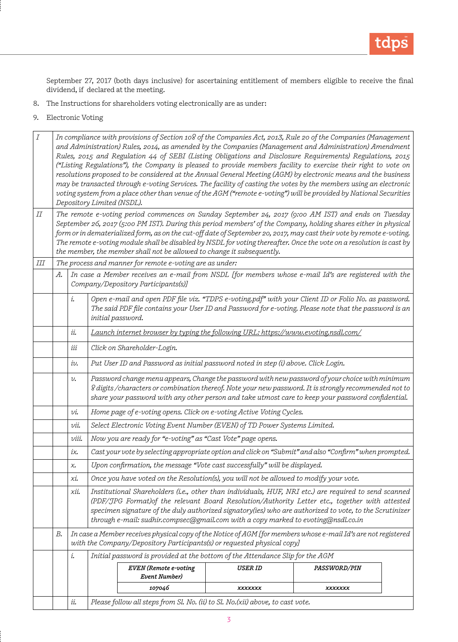

September 27, 2017 (both days inclusive) for ascertaining entitlement of members eligible to receive the final dividend, if declared at the meeting.

- 8. The Instructions for shareholders voting electronically are as under:
- 9. Electronic Voting

| $\boldsymbol{I}$ | In compliance with provisions of Section 108 of the Companies Act, 2013, Rule 20 of the Companies (Management<br>and Administration) Rules, 2014, as amended by the Companies (Management and Administration) Amendment<br>Rules, 2015 and Regulation 44 of SEBI (Listing Obligations and Disclosure Requirements) Regulations, 2015<br>("Listing Regulations"), the Company is pleased to provide members facility to exercise their right to vote on<br>resolutions proposed to be considered at the Annual General Meeting (AGM) by electronic means and the business<br>may be transacted through e-voting Services. The facility of casting the votes by the members using an electronic<br>voting system from a place other than venue of the AGM ("remote e-voting") will be provided by National Securities<br>Depository Limited (NSDL). |                                    |  |                                                                                                                                             |         |                |  |
|------------------|---------------------------------------------------------------------------------------------------------------------------------------------------------------------------------------------------------------------------------------------------------------------------------------------------------------------------------------------------------------------------------------------------------------------------------------------------------------------------------------------------------------------------------------------------------------------------------------------------------------------------------------------------------------------------------------------------------------------------------------------------------------------------------------------------------------------------------------------------|------------------------------------|--|---------------------------------------------------------------------------------------------------------------------------------------------|---------|----------------|--|
| П                | The remote e-voting period commences on Sunday September 24, 2017 (9:00 AM IST) and ends on Tuesday<br>September 26, 2017 (5:00 PM IST). During this period members' of the Company, holding shares either in physical<br>form or in dematerialized form, as on the cut-off date of September 20, 2017, may cast their vote by remote e-voting.<br>The remote e-voting module shall be disabled by NSDL for voting thereafter. Once the vote on a resolution is cast by<br>the member, the member shall not be allowed to change it subsequently.                                                                                                                                                                                                                                                                                                 |                                    |  |                                                                                                                                             |         |                |  |
| Ш                |                                                                                                                                                                                                                                                                                                                                                                                                                                                                                                                                                                                                                                                                                                                                                                                                                                                   |                                    |  | The process and manner for remote e-voting are as under:                                                                                    |         |                |  |
|                  | А.                                                                                                                                                                                                                                                                                                                                                                                                                                                                                                                                                                                                                                                                                                                                                                                                                                                |                                    |  | In case a Member receives an e-mail from NSDL [for members whose e-mail Id's are registered with the<br>Company/Depository Participants(s)] |         |                |  |
|                  | Open e-mail and open PDF file viz. "TDPS e-voting.pdf" with your Client ID or Folio No. as password.<br>i.<br>The said PDF file contains your User ID and Password for e-voting. Please note that the password is an<br>initial password.                                                                                                                                                                                                                                                                                                                                                                                                                                                                                                                                                                                                         |                                    |  |                                                                                                                                             |         |                |  |
|                  |                                                                                                                                                                                                                                                                                                                                                                                                                                                                                                                                                                                                                                                                                                                                                                                                                                                   | ii.                                |  | Launch internet browser by typing the following URL: https://www.evoting.nsdl.com/                                                          |         |                |  |
|                  |                                                                                                                                                                                                                                                                                                                                                                                                                                                                                                                                                                                                                                                                                                                                                                                                                                                   | Click on Shareholder-Login.<br>iii |  |                                                                                                                                             |         |                |  |
|                  | Put User ID and Password as initial password noted in step (i) above. Click Login.<br>iv.                                                                                                                                                                                                                                                                                                                                                                                                                                                                                                                                                                                                                                                                                                                                                         |                                    |  |                                                                                                                                             |         |                |  |
|                  | Password change menu appears, Change the password with new password of your choice with minimum<br>υ.<br>8 digits /characters or combination thereof. Note your new password. It is strongly recommended not to<br>share your password with any other person and take utmost care to keep your password confidential.                                                                                                                                                                                                                                                                                                                                                                                                                                                                                                                             |                                    |  |                                                                                                                                             |         |                |  |
|                  | Home page of e-voting opens. Click on e-voting Active Voting Cycles.<br>υi.                                                                                                                                                                                                                                                                                                                                                                                                                                                                                                                                                                                                                                                                                                                                                                       |                                    |  |                                                                                                                                             |         |                |  |
|                  | Select Electronic Voting Event Number (EVEN) of TD Power Systems Limited.<br>νii.                                                                                                                                                                                                                                                                                                                                                                                                                                                                                                                                                                                                                                                                                                                                                                 |                                    |  |                                                                                                                                             |         |                |  |
|                  | Now you are ready for "e-voting" as "Cast Vote" page opens.<br>viii.                                                                                                                                                                                                                                                                                                                                                                                                                                                                                                                                                                                                                                                                                                                                                                              |                                    |  |                                                                                                                                             |         |                |  |
|                  |                                                                                                                                                                                                                                                                                                                                                                                                                                                                                                                                                                                                                                                                                                                                                                                                                                                   | iχ.                                |  | Cast your vote by selecting appropriate option and click on "Submit" and also "Confirm" when prompted.                                      |         |                |  |
|                  |                                                                                                                                                                                                                                                                                                                                                                                                                                                                                                                                                                                                                                                                                                                                                                                                                                                   | χ.                                 |  | Upon confirmation, the message "Vote cast successfully" will be displayed.                                                                  |         |                |  |
|                  |                                                                                                                                                                                                                                                                                                                                                                                                                                                                                                                                                                                                                                                                                                                                                                                                                                                   | хi.                                |  | Once you have voted on the Resolution(s), you will not be allowed to modify your vote.                                                      |         |                |  |
|                  | Institutional Shareholders (i.e., other than individuals, HUF, NRI etc.) are required to send scanned<br>хij.<br>(PDF/JPG Format)of the relevant Board Resolution/Authority Letter etc., together with attested<br>specimen signature of the duly authorized signatory(ies) who are authorized to vote, to the Scrutinizer<br>through e-mail: sudhir.compsec@gmail.com with a copy marked to evoting@nsdl.co.in                                                                                                                                                                                                                                                                                                                                                                                                                                   |                                    |  |                                                                                                                                             |         |                |  |
|                  | In case a Member receives physical copy of the Notice of AGM [for members whose e-mail Id's are not registered<br>В.<br>with the Company/Depository Participants(s) or requested physical copy]                                                                                                                                                                                                                                                                                                                                                                                                                                                                                                                                                                                                                                                   |                                    |  |                                                                                                                                             |         |                |  |
|                  |                                                                                                                                                                                                                                                                                                                                                                                                                                                                                                                                                                                                                                                                                                                                                                                                                                                   | i.                                 |  | Initial password is provided at the bottom of the Attendance Slip for the AGM                                                               |         |                |  |
|                  |                                                                                                                                                                                                                                                                                                                                                                                                                                                                                                                                                                                                                                                                                                                                                                                                                                                   |                                    |  | EVEN (Remote e-voting<br>Event Number)                                                                                                      | USER ID | PASSWORD/PIN   |  |
|                  |                                                                                                                                                                                                                                                                                                                                                                                                                                                                                                                                                                                                                                                                                                                                                                                                                                                   |                                    |  | 107046                                                                                                                                      | xxxxxxx | <b>XXXXXXX</b> |  |
|                  |                                                                                                                                                                                                                                                                                                                                                                                                                                                                                                                                                                                                                                                                                                                                                                                                                                                   | ii.                                |  | Please follow all steps from Sl. No. (ii) to Sl. No. (xii) above, to cast vote.                                                             |         |                |  |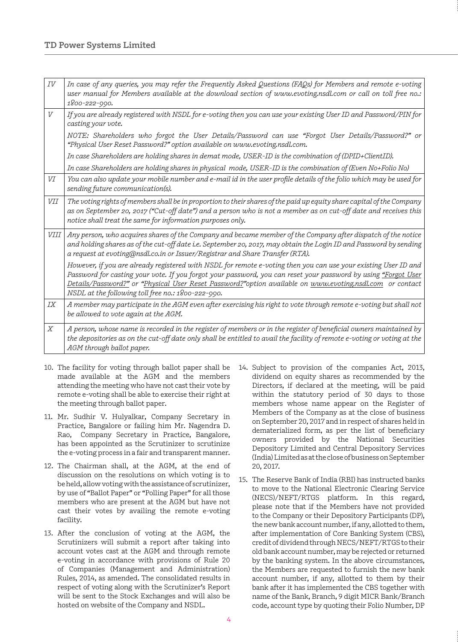| IV         | In case of any queries, you may refer the Frequently Asked Questions (FAQs) for Members and remote e-voting<br>user manual for Members available at the download section of www.evoting.nsdl.com or call on toll free no.:<br>1800-222-990.                                                                                                                                                         |
|------------|-----------------------------------------------------------------------------------------------------------------------------------------------------------------------------------------------------------------------------------------------------------------------------------------------------------------------------------------------------------------------------------------------------|
| V          | If you are already registered with NSDL for e-voting then you can use your existing User ID and Password/PIN for<br>casting your vote.                                                                                                                                                                                                                                                              |
|            | NOTE: Shareholders who forgot the User Details/Password can use "Forgot User Details/Password?" or<br>"Physical User Reset Password?" option available on www.evoting.nsdl.com.                                                                                                                                                                                                                     |
|            | In case Shareholders are holding shares in demat mode, USER-ID is the combination of (DPID+ClientID).                                                                                                                                                                                                                                                                                               |
|            | In case Shareholders are holding shares in physical mode, USER-ID is the combination of (Even No+Folio No)                                                                                                                                                                                                                                                                                          |
| VI         | You can also update your mobile number and e-mail id in the user profile details of the folio which may be used for<br>sending future communication(s).                                                                                                                                                                                                                                             |
| <i>VII</i> | The voting rights of members shall be in proportion to their shares of the paid up equity share capital of the Company<br>as on September 20, 2017 ("Cut-off date") and a person who is not a member as on cut-off date and receives this<br>notice shall treat the same for information purposes only.                                                                                             |
| VIII       | Any person, who acquires shares of the Company and became member of the Company after dispatch of the notice<br>and holding shares as of the cut-off date i.e. September 20, 2017, may obtain the Login ID and Password by sending<br>a request at evoting@nsdl.co.in or Issuer/Registrar and Share Transfer (RTA).                                                                                 |
|            | However, if you are already registered with NSDL for remote e-voting then you can use your existing User ID and<br>Password for casting your vote. If you forgot your password, you can reset your password by using "Forgot User<br>Details/Password?" or "Physical User Reset Password?"option available on www.evoting.nsdl.com or contact<br>NSDL at the following toll free no.: 1800-222-990. |
| IХ         | A member may participate in the AGM even after exercising his right to vote through remote e-voting but shall not<br>be allowed to vote again at the AGM.                                                                                                                                                                                                                                           |
| X          | A person, whose name is recorded in the register of members or in the register of beneficial owners maintained by<br>the depositories as on the cut-off date only shall be entitled to avail the facility of remote e-voting or voting at the<br>AGM through ballot paper.                                                                                                                          |

- 10. The facility for voting through ballot paper shall be made available at the AGM and the members attending the meeting who have not cast their vote by remote e-voting shall be able to exercise their right at the meeting through ballot paper.
- 11. Mr. Sudhir V. Hulyalkar, Company Secretary in Practice, Bangalore or failing him Mr. Nagendra D. Rao, Company Secretary in Practice, Bangalore, has been appointed as the Scrutinizer to scrutinize the e-voting process in a fair and transparent manner.
- 12. The Chairman shall, at the AGM, at the end of discussion on the resolutions on which voting is to be held, allow voting with the assistance of scrutinizer, by use of "Ballot Paper" or "Polling Paper" for all those members who are present at the AGM but have not cast their votes by availing the remote e-voting facility.
- 13. After the conclusion of voting at the AGM, the Scrutinizers will submit a report after taking into account votes cast at the AGM and through remote e-voting in accordance with provisions of Rule 20 of Companies (Management and Administration) Rules, 2014, as amended. The consolidated results in respect of voting along with the Scrutinizer's Report will be sent to the Stock Exchanges and will also be hosted on website of the Company and NSDL.
- 14. Subject to provision of the companies Act, 2013, dividend on equity shares as recommended by the Directors, if declared at the meeting, will be paid within the statutory period of 30 days to those members whose name appear on the Register of Members of the Company as at the close of business on September 20, 2017 and in respect of shares held in dematerialized form, as per the list of beneficiary owners provided by the National Securities Depository Limited and Central Depository Services (India) Limited as at the close of business on September 20, 2017.
- 15. The Reserve Bank of India (RBI) has instructed banks to move to the National Electronic Clearing Service (NECS)/NEFT/RTGS platform. In this regard, please note that if the Members have not provided to the Company or their Depository Participants (DP), the new bank account number, if any, allotted to them, after implementation of Core Banking System (CBS), credit of dividend through NECS/NEFT/RTGS to their old bank account number, may be rejected or returned by the banking system. In the above circumstances, the Members are requested to furnish the new bank account number, if any, allotted to them by their bank after it has implemented the CBS together with name of the Bank, Branch, 9 digit MICR Bank/Branch code, account type by quoting their Folio Number, DP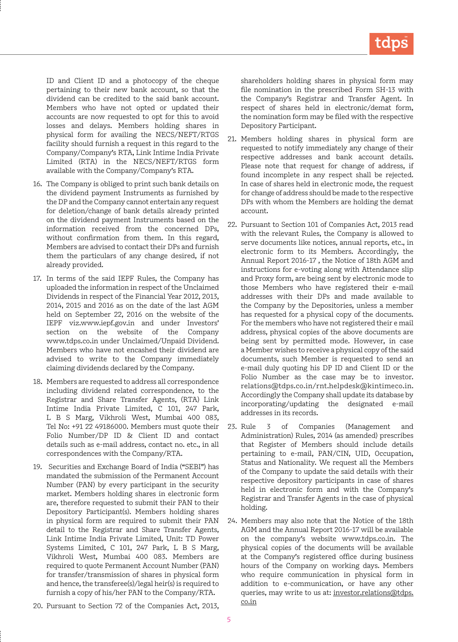ID and Client ID and a photocopy of the cheque pertaining to their new bank account, so that the dividend can be credited to the said bank account. Members who have not opted or updated their accounts are now requested to opt for this to avoid losses and delays. Members holding shares in physical form for availing the NECS/NEFT/RTGS facility should furnish a request in this regard to the Company/Company's RTA, Link Intime India Private Limited (RTA) in the NECS/NEFT/RTGS form available with the Company/Company's RTA.

- 16. The Company is obliged to print such bank details on the dividend payment Instruments as furnished by the DP and the Company cannot entertain any request for deletion/change of bank details already printed on the dividend payment Instruments based on the information received from the concerned DPs, without confirmation from them. In this regard, Members are advised to contact their DPs and furnish them the particulars of any change desired, if not already provided.
- 17. In terms of the said IEPF Rules, the Company has uploaded the information in respect of the Unclaimed Dividends in respect of the Financial Year 2012, 2013, 2014, 2015 and 2016 as on the date of the last AGM held on September 22, 2016 on the website of the IEPF viz.www.iepf.gov.in and under Investors' section on the website of the Company www.tdps.co.in under Unclaimed/Unpaid Dividend. Members who have not encashed their dividend are advised to write to the Company immediately claiming dividends declared by the Company.
- 18. Members are requested to address all correspondence including dividend related correspondence, to the Registrar and Share Transfer Agents, (RTA) Link Intime India Private Limited, C 101, 247 Park, L B S Marg, Vikhroli West, Mumbai 400 083, Tel No: +91 22 49186000. Members must quote their Folio Number/DP ID & Client ID and contact details such as e-mail address, contact no. etc., in all correspondences with the Company/RTA.
- 19. Securities and Exchange Board of India ("SEBI") has mandated the submission of the Permanent Account Number (PAN) by every participant in the security market. Members holding shares in electronic form are, therefore requested to submit their PAN to their Depository Participant(s). Members holding shares in physical form are required to submit their PAN detail to the Registrar and Share Transfer Agents, Link Intime India Private Limited, Unit: TD Power Systems Limited, C 101, 247 Park, L B S Marg, Vikhroli West, Mumbai 400 083. Members are required to quote Permanent Account Number (PAN) for transfer/transmission of shares in physical form and hence, the transferee(s)/legal heir(s) is required to furnish a copy of his/her PAN to the Company/RTA.

shareholders holding shares in physical form may file nomination in the prescribed Form SH-13 with the Company's Registrar and Transfer Agent. In respect of shares held in electronic/demat form, the nomination form may be filed with the respective Depository Participant.

- 21. Members holding shares in physical form are requested to notify immediately any change of their respective addresses and bank account details. Please note that request for change of address, if found incomplete in any respect shall be rejected. In case of shares held in electronic mode, the request for change of address should be made to the respective DPs with whom the Members are holding the demat account.
- 22. Pursuant to Section 101 of Companies Act, 2013 read with the relevant Rules, the Company is allowed to serve documents like notices, annual reports, etc., in electronic form to its Members. Accordingly, the Annual Report 2016-17 , the Notice of 18th AGM and instructions for e-voting along with Attendance slip and Proxy form, are being sent by electronic mode to those Members who have registered their e-mail addresses with their DPs and made available to the Company by the Depositories, unless a member has requested for a physical copy of the documents. For the members who have not registered their e mail address, physical copies of the above documents are being sent by permitted mode. However, in case a Member wishes to receive a physical copy of the said documents, such Member is requested to send an e-mail duly quoting his DP ID and Client ID or the Folio Number as the case may be to investor. relations@tdps.co.in/rnt.helpdesk@kintimeco.in. Accordingly the Company shall update its database by incorporating/updating the designated e-mail addresses in its records.
- 23. Rule 3 of Companies (Management and Administration) Rules, 2014 (as amended) prescribes that Register of Members should include details pertaining to e-mail, PAN/CIN, UID, Occupation, Status and Nationality. We request all the Members of the Company to update the said details with their respective depository participants in case of shares held in electronic form and with the Company's Registrar and Transfer Agents in the case of physical holding.
- 24. Members may also note that the Notice of the 18th AGM and the Annual Report 2016-17 will be available on the company's website www.tdps.co.in. The physical copies of the documents will be available at the Company's registered office during business hours of the Company on working days. Members who require communication in physical form in addition to e-communication, or have any other queries, may write to us at: investor.relations@tdps. co.in
- 20. Pursuant to Section 72 of the Companies Act, 2013,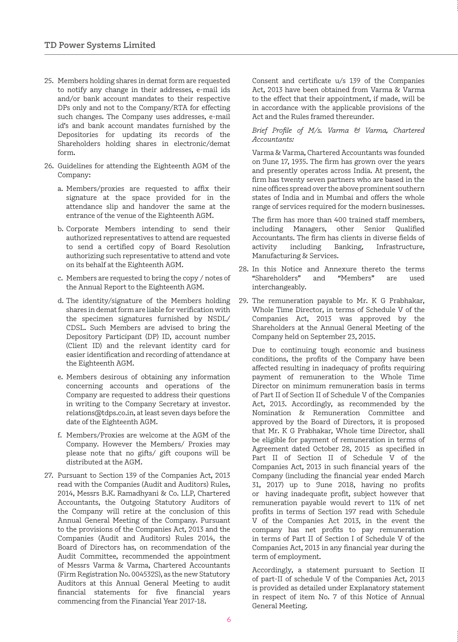- 25. Members holding shares in demat form are requested to notify any change in their addresses, e-mail ids and/or bank account mandates to their respective DPs only and not to the Company/RTA for effecting such changes. The Company uses addresses, e-mail id's and bank account mandates furnished by the Depositories for updating its records of the Shareholders holding shares in electronic/demat form.
- 26. Guidelines for attending the Eighteenth AGM of the Company:
	- a. Members/proxies are requested to affix their signature at the space provided for in the attendance slip and handover the same at the entrance of the venue of the Eighteenth AGM.
	- b. Corporate Members intending to send their authorized representatives to attend are requested to send a certified copy of Board Resolution authorizing such representative to attend and vote on its behalf at the Eighteenth AGM.
	- c. Members are requested to bring the copy / notes of the Annual Report to the Eighteenth AGM.
	- d. The identity/signature of the Members holding shares in demat form are liable for verification with the specimen signatures furnished by NSDL/ CDSL. Such Members are advised to bring the Depository Participant (DP) ID, account number (Client ID) and the relevant identity card for easier identification and recording of attendance at the Eighteenth AGM.
	- e. Members desirous of obtaining any information concerning accounts and operations of the Company are requested to address their questions in writing to the Company Secretary at investor. relations@tdps.co.in, at least seven days before the date of the Eighteenth AGM.
	- f. Members/Proxies are welcome at the AGM of the Company. However the Members/ Proxies may please note that no gifts/ gift coupons will be distributed at the AGM.
- 27. Pursuant to Section 139 of the Companies Act, 2013 read with the Companies (Audit and Auditors) Rules, 2014, Messrs B.K. Ramadhyani & Co. LLP, Chartered Accountants, the Outgoing Statutory Auditors of the Company will retire at the conclusion of this Annual General Meeting of the Company. Pursuant to the provisions of the Companies Act, 2013 and the Companies (Audit and Auditors) Rules 2014, the Board of Directors has, on recommendation of the Audit Committee, recommended the appointment of Messrs Varma & Varma, Chartered Accountants (Firm Registration No. 004532S), as the new Statutory Auditors at this Annual General Meeting to audit financial statements for five financial years commencing from the Financial Year 2017-18.

Consent and certificate u/s 139 of the Companies Act, 2013 have been obtained from Varma & Varma to the effect that their appointment, if made, will be in accordance with the applicable provisions of the Act and the Rules framed thereunder.

## *Brief Profile of M/s. Varma & Varma, Chartered Accountants:*

Varma & Varma, Chartered Accountants was founded on June 17, 1935. The firm has grown over the years and presently operates across India. At present, the firm has twenty seven partners who are based in the nine offices spread over the above prominent southern states of India and in Mumbai and offers the whole range of services required for the modern businesses.

The firm has more than 400 trained staff members, including Managers, other Senior Qualified Accountants. The firm has clients in diverse fields of activity including Banking. Infrastructure. activity including Banking, Manufacturing & Services.

- 28. In this Notice and Annexure thereto the terms "Shareholders" and "Members" are used interchangeably.
- 29. The remuneration payable to Mr. K G Prabhakar, Whole Time Director, in terms of Schedule V of the Companies Act, 2013 was approved by the Shareholders at the Annual General Meeting of the Company held on September 23, 2015.

Due to continuing tough economic and business conditions, the profits of the Company have been affected resulting in inadequacy of profits requiring payment of remuneration to the Whole Time Director on minimum remuneration basis in terms of Part II of Section II of Schedule V of the Companies Act, 2013. Accordingly, as recommended by the Nomination & Remuneration Committee and approved by the Board of Directors, it is proposed that Mr. K G Prabhakar, Whole time Director, shall be eligible for payment of remuneration in terms of Agreement dated October 28, 2015 as specified in Part II of Section II of Schedule V of the Companies Act, 2013 in such financial years of the Company (including the financial year ended March 31, 2017) up to June 2018, having no profits or having inadequate profit, subject however that remuneration payable would revert to 11% of net profits in terms of Section 197 read with Schedule V of the Companies Act 2013, in the event the company has net profits to pay remuneration in terms of Part II of Section I of Schedule V of the Companies Act, 2013 in any financial year during the term of employment.

Accordingly, a statement pursuant to Section II of part-II of schedule V of the Companies Act, 2013 is provided as detailed under Explanatory statement in respect of item No. 7 of this Notice of Annual General Meeting.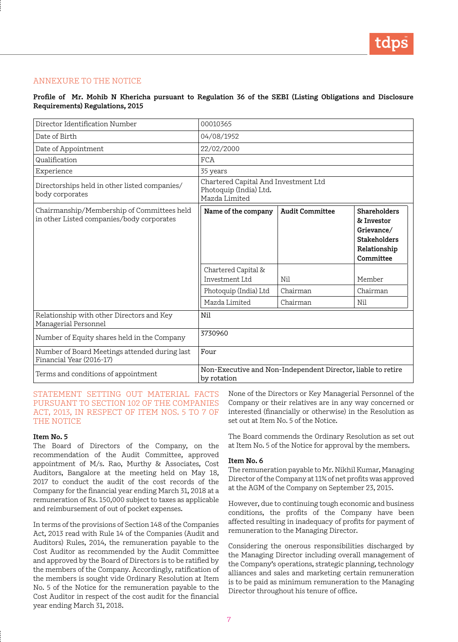# ANNEXURE TO THE NOTICE

# **Profile of Mr. Mohib N Khericha pursuant to Regulation 36 of the SEBI (Listing Obligations and Disclosure Requirements) Regulations, 2015**

| Director Identification Number                                                          | 00010365                                                                        |                        |                                                                                                     |
|-----------------------------------------------------------------------------------------|---------------------------------------------------------------------------------|------------------------|-----------------------------------------------------------------------------------------------------|
| Date of Birth                                                                           | 04/08/1952                                                                      |                        |                                                                                                     |
| Date of Appointment                                                                     | 22/02/2000                                                                      |                        |                                                                                                     |
| Qualification                                                                           | <b>FCA</b>                                                                      |                        |                                                                                                     |
| Experience                                                                              | 35 years                                                                        |                        |                                                                                                     |
| Directorships held in other listed companies/<br>body corporates                        | Chartered Capital And Investment Ltd<br>Photoquip (India) Ltd.<br>Mazda Limited |                        |                                                                                                     |
| Chairmanship/Membership of Committees held<br>in other Listed companies/body corporates | Name of the company                                                             | <b>Audit Committee</b> | <b>Shareholders</b><br>& Investor<br>Grievance/<br><b>Stakeholders</b><br>Relationship<br>Committee |
|                                                                                         | Chartered Capital &<br>Investment Ltd                                           | Nil                    | Member                                                                                              |
|                                                                                         | Photoquip (India) Ltd                                                           | Chairman               | Chairman                                                                                            |
|                                                                                         | Mazda Limited                                                                   | Chairman               | Nil                                                                                                 |
| Relationship with other Directors and Key<br>Managerial Personnel                       | Nil                                                                             |                        |                                                                                                     |
| Number of Equity shares held in the Company                                             | 3730960                                                                         |                        |                                                                                                     |
| Number of Board Meetings attended during last<br>Financial Year (2016-17)               | Four                                                                            |                        |                                                                                                     |
| Terms and conditions of appointment                                                     | Non-Executive and Non-Independent Director, liable to retire<br>by rotation     |                        |                                                                                                     |

STATEMENT SETTING OUT MATERIAL FACTS PURSUANT TO SECTION 102 OF THE COMPANIES ACT, 2013, IN RESPECT OF ITEM NOS. 5 TO 7 OF THE NOTICE

## **Item No. 5**

The Board of Directors of the Company, on the recommendation of the Audit Committee, approved appointment of M/s. Rao, Murthy & Associates, Cost Auditors, Bangalore at the meeting held on May 18, 2017 to conduct the audit of the cost records of the Company for the financial year ending March 31, 2018 at a remuneration of Rs. 150,000 subject to taxes as applicable and reimbursement of out of pocket expenses.

In terms of the provisions of Section 148 of the Companies Act, 2013 read with Rule 14 of the Companies (Audit and Auditors) Rules, 2014, the remuneration payable to the Cost Auditor as recommended by the Audit Committee and approved by the Board of Directors is to be ratified by the members of the Company. Accordingly, ratification of the members is sought vide Ordinary Resolution at Item No. 5 of the Notice for the remuneration payable to the Cost Auditor in respect of the cost audit for the financial year ending March 31, 2018.

None of the Directors or Key Managerial Personnel of the Company or their relatives are in any way concerned or interested (financially or otherwise) in the Resolution as set out at Item No. 5 of the Notice.

The Board commends the Ordinary Resolution as set out at Item No. 5 of the Notice for approval by the members.

#### **Item No. 6**

The remuneration payable to Mr. Nikhil Kumar, Managing Director of the Company at 11% of net profits was approved at the AGM of the Company on September 23, 2015.

However, due to continuing tough economic and business conditions, the profits of the Company have been affected resulting in inadequacy of profits for payment of remuneration to the Managing Director.

Considering the onerous responsibilities discharged by the Managing Director including overall management of the Company's operations, strategic planning, technology alliances and sales and marketing certain remuneration is to be paid as minimum remuneration to the Managing Director throughout his tenure of office.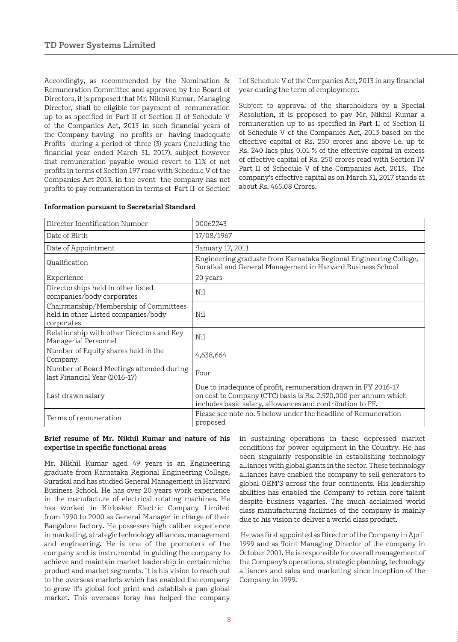Accordingly, as recommended by the Nomination & Remuneration Committee and approved by the Board of Directors, it is proposed that Mr. Nikhil Kumar, Managing Director, shall be eligible for payment of remuneration up to as specified in Part II of Section II of Schedule V of the Companies Act, 2013 in such financial years of the Company having no profits or having inadequate Profits during a period of three (3) years (including the financial year ended March 31, 2017), subject however that remuneration payable would revert to 11% of net profits in terms of Section 197 read with Schedule V of the Companies Act 2013, in the event the company has net profits to pay remuneration in terms of Part II of Section

I of Schedule V of the Companies Act, 2013 in any financial year during the term of employment.

Subject to approval of the shareholders by a Special Resolution, it is proposed to pay Mr. Nikhil Kumar a remuneration up to as specified in Part II of Section II of Schedule V of the Companies Act, 2013 based on the effective capital of Rs. 250 crores and above i.e. up to Rs. 240 lacs plus 0.01 % of the effective capital in excess of effective capital of Rs. 250 crores read with Section IV Part II of Schedule V of the Companies Act, 2013. The company's effective capital as on March 31, 2017 stands at about Rs. 465.08 Crores.

| Director Identification Number                                                             | 00062243                                                                                                                                                                                      |
|--------------------------------------------------------------------------------------------|-----------------------------------------------------------------------------------------------------------------------------------------------------------------------------------------------|
| Date of Birth                                                                              | 17/08/1967                                                                                                                                                                                    |
| Date of Appointment                                                                        | January 17, 2011                                                                                                                                                                              |
| Qualification                                                                              | Engineering graduate from Karnataka Regional Engineering College,<br>Suratkal and General Management in Harvard Business School                                                               |
| Experience                                                                                 | 20 years                                                                                                                                                                                      |
| Directorships held in other listed<br>companies/body corporates                            | Nil                                                                                                                                                                                           |
| Chairmanship/Membership of Committees<br>held in other Listed companies/body<br>corporates | Nil                                                                                                                                                                                           |
| Relationship with other Directors and Key<br>Managerial Personnel                          | Nil                                                                                                                                                                                           |
| Number of Equity shares held in the<br>Company                                             | 4,638,664                                                                                                                                                                                     |
| Number of Board Meetings attended during<br>last Financial Year (2016-17)                  | Four                                                                                                                                                                                          |
| Last drawn salary                                                                          | Due to inadequate of profit, remuneration drawn in FY 2016-17<br>on cost to Company (CTC) basis is Rs. 2,520,000 per annum which<br>includes basic salary, allowances and contribution to PF. |
| Terms of remuneration                                                                      | Please see note no. 5 below under the headline of Remuneration<br>proposed                                                                                                                    |

#### **Information pursuant to Secretarial Standard**

#### **Brief resume of Mr. Nikhil Kumar and nature of his expertise in specific functional areas**

Mr. Nikhil Kumar aged 49 years is an Engineering graduate from Karnataka Regional Engineering College, Suratkal and has studied General Management in Harvard Business School. He has over 20 years work experience in the manufacture of electrical rotating machines. He has worked in Kirloskar Electric Company Limited from 1990 to 2000 as General Manager in charge of their Bangalore factory. He possesses high caliber experience in marketing, strategic technology alliances, management and engineering. He is one of the promoters of the company and is instrumental in guiding the company to achieve and maintain market leadership in certain niche product and market segments. It is his vision to reach out to the overseas markets which has enabled the company to grow it's global foot print and establish a pan global market. This overseas foray has helped the company in sustaining operations in these depressed market conditions for power equipment in the Country. He has been singularly responsible in establishing technology alliances with global giants in the sector. These technology alliances have enabled the company to sell generators to global OEM'S across the four continents. His leadership abilities has enabled the Company to retain core talent despite business vagaries. The much acclaimed world class manufacturing facilities of the company is mainly due to his vision to deliver a world class product.

 He was first appointed as Director of the Company in April 1999 and as Joint Managing Director of the company in October 2001. He is responsible for overall management of the Company's operations, strategic planning, technology alliances and sales and marketing since inception of the Company in 1999.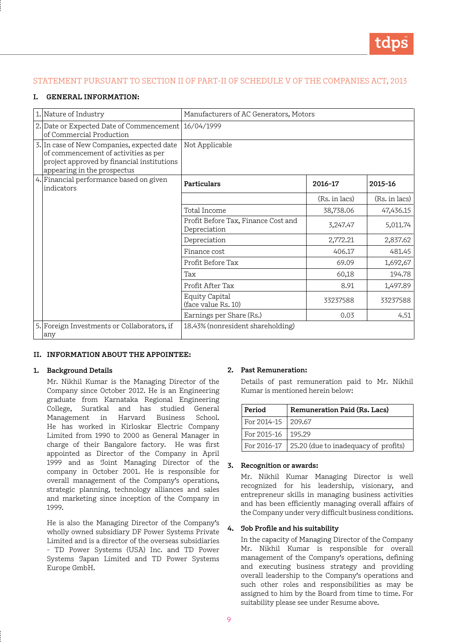# STATEMENT PURSUANT TO SECTION II OF PART-II OF SCHEDULE V OF THE COMPANIES ACT, 2013

## **I. GENERAL INFORMATION:**

| 1. Nature of Industry                                                                                                                                           | Manufacturers of AC Generators, Motors              |               |               |
|-----------------------------------------------------------------------------------------------------------------------------------------------------------------|-----------------------------------------------------|---------------|---------------|
| 2. Date or Expected Date of Commencement   16/04/1999<br>of Commercial Production                                                                               |                                                     |               |               |
| 3. In case of New Companies, expected date<br>of commencement of activities as per<br>project approved by financial institutions<br>appearing in the prospectus | Not Applicable                                      |               |               |
| 4. Financial performance based on given<br>lindicators                                                                                                          | Particulars                                         | 2016-17       | 2015-16       |
|                                                                                                                                                                 |                                                     | (Rs. in lacs) | (Rs. in lacs) |
|                                                                                                                                                                 | Total Income                                        | 38,738.06     | 47,436.15     |
|                                                                                                                                                                 | Profit Before Tax, Finance Cost and<br>Depreciation | 3,247.47      | 5,011.74      |
|                                                                                                                                                                 | Depreciation                                        | 2,772.21      | 2,837.62      |
|                                                                                                                                                                 | Finance cost                                        | 406.17        | 481.45        |
|                                                                                                                                                                 | Profit Before Tax                                   | 69.09         | 1,692,67      |
|                                                                                                                                                                 | Tax                                                 | 60,18         | 194.78        |
|                                                                                                                                                                 | Profit After Tax                                    | 8.91          | 1,497.89      |
|                                                                                                                                                                 | <b>Equity Capital</b><br>(face value Rs. 10)        | 33237588      | 33237588      |
|                                                                                                                                                                 | Earnings per Share (Rs.)                            | 0.03          | 4.51          |
| 5. Foreign Investments or Collaborators, if<br>any                                                                                                              | 18.43% (nonresident shareholding)                   |               |               |

#### **II. INFORMATION ABOUT THE APPOINTEE:**

#### **1. Background Details**

Mr. Nikhil Kumar is the Managing Director of the Company since October 2012. He is an Engineering graduate from Karnataka Regional Engineering College, Suratkal and has studied General Management in Harvard Business School. He has worked in Kirloskar Electric Company Limited from 1990 to 2000 as General Manager in charge of their Bangalore factory. He was first appointed as Director of the Company in April 1999 and as Joint Managing Director of the company in October 2001. He is responsible for overall management of the Company's operations, strategic planning, technology alliances and sales and marketing since inception of the Company in 1999.

He is also the Managing Director of the Company's wholly owned subsidiary DF Power Systems Private Limited and is a director of the overseas subsidiaries - TD Power Systems (USA) Inc. and TD Power Systems Japan Limited and TD Power Systems Europe GmbH.

#### **2. Past Remuneration:**

Details of past remuneration paid to Mr. Nikhil Kumar is mentioned herein below:

| Period               | Remuneration Paid (Rs. Lacs)                       |  |
|----------------------|----------------------------------------------------|--|
| For 2014-15   209.67 |                                                    |  |
| For 2015-16   195.29 |                                                    |  |
|                      | For 2016-17   25.20 (due to inadequacy of profits) |  |

# **3. Recognition or awards:**

Mr. Nikhil Kumar Managing Director is well recognized for his leadership, visionary, and entrepreneur skills in managing business activities and has been efficiently managing overall affairs of the Company under very difficult business conditions.

#### **4. Job Profile and his suitability**

In the capacity of Managing Director of the Company Mr. Nikhil Kumar is responsible for overall management of the Company's operations, defining and executing business strategy and providing overall leadership to the Company's operations and such other roles and responsibilities as may be assigned to him by the Board from time to time. For suitability please see under Resume above.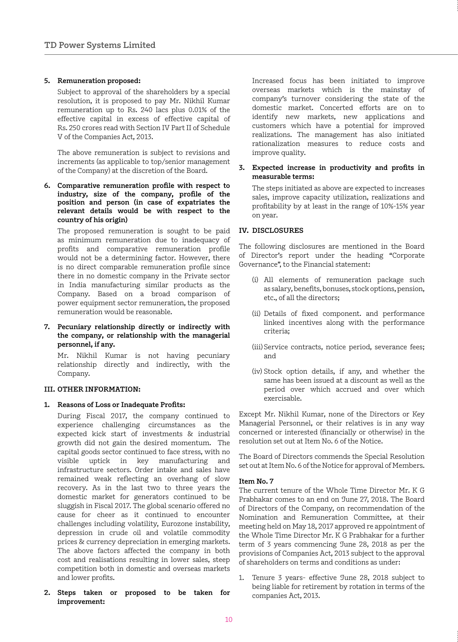## **5. Remuneration proposed:**

Subject to approval of the shareholders by a special resolution, it is proposed to pay Mr. Nikhil Kumar remuneration up to Rs. 240 lacs plus 0.01% of the effective capital in excess of effective capital of Rs. 250 crores read with Section IV Part II of Schedule V of the Companies Act, 2013.

The above remuneration is subject to revisions and increments (as applicable to top/senior management of the Company) at the discretion of the Board.

**6. Comparative remuneration profile with respect to industry, size of the company, profile of the position and person (in case of expatriates the relevant details would be with respect to the country of his origin)**

The proposed remuneration is sought to be paid as minimum remuneration due to inadequacy of profits and comparative remuneration profile would not be a determining factor. However, there is no direct comparable remuneration profile since there in no domestic company in the Private sector in India manufacturing similar products as the Company. Based on a broad comparison of power equipment sector remuneration, the proposed remuneration would be reasonable.

**7. Pecuniary relationship directly or indirectly with the company, or relationship with the managerial personnel, if any.**

Mr. Nikhil Kumar is not having pecuniary relationship directly and indirectly, with the Company.

## **III. OTHER INFORMATION:**

## **1. Reasons of Loss or Inadequate Profits:**

During Fiscal 2017, the company continued to experience challenging circumstances as the expected kick start of investments & industrial growth did not gain the desired momentum. The capital goods sector continued to face stress, with no visible uptick in key manufacturing and infrastructure sectors. Order intake and sales have remained weak reflecting an overhang of slow recovery. As in the last two to three years the domestic market for generators continued to be sluggish in Fiscal 2017. The global scenario offered no cause for cheer as it continued to encounter challenges including volatility, Eurozone instability, depression in crude oil and volatile commodity prices & currency depreciation in emerging markets. The above factors affected the company in both cost and realisations resulting in lower sales, steep competition both in domestic and overseas markets and lower profits.

**2. Steps taken or proposed to be taken for improvement:** 

Increased focus has been initiated to improve overseas markets which is the mainstay of company's turnover considering the state of the domestic market. Concerted efforts are on to identify new markets, new applications and customers which have a potential for improved realizations. The management has also initiated rationalization measures to reduce costs and improve quality.

## **3. Expected increase in productivity and profits in measurable terms:**

The steps initiated as above are expected to increases sales, improve capacity utilization, realizations and profitability by at least in the range of 10%-15% year on year.

## **IV. DISCLOSURES**

The following disclosures are mentioned in the Board of Director's report under the heading "Corporate Governance", to the Financial statement:

- (i) All elements of remuneration package such as salary, benefits, bonuses, stock options, pension, etc., of all the directors;
- (ii) Details of fixed component. and performance linked incentives along with the performance criteria;
- (iii) Service contracts, notice period, severance fees; and
- (iv) Stock option details, if any, and whether the same has been issued at a discount as well as the period over which accrued and over which exercisable.

Except Mr. Nikhil Kumar, none of the Directors or Key Managerial Personnel, or their relatives is in any way concerned or interested (financially or otherwise) in the resolution set out at Item No. 6 of the Notice.

The Board of Directors commends the Special Resolution set out at Item No. 6 of the Notice for approval of Members.

## **Item No. 7**

The current tenure of the Whole Time Director Mr. K G Prabhakar comes to an end on June 27, 2018. The Board of Directors of the Company, on recommendation of the Nomination and Remuneration Committee, at their meeting held on May 18, 2017 approved re appointment of the Whole Time Director Mr. K G Prabhakar for a further term of 3 years commencing June 28, 2018 as per the provisions of Companies Act, 2013 subject to the approval of shareholders on terms and conditions as under:

1. Tenure 3 years- effective June 28, 2018 subject to being liable for retirement by rotation in terms of the companies Act, 2013.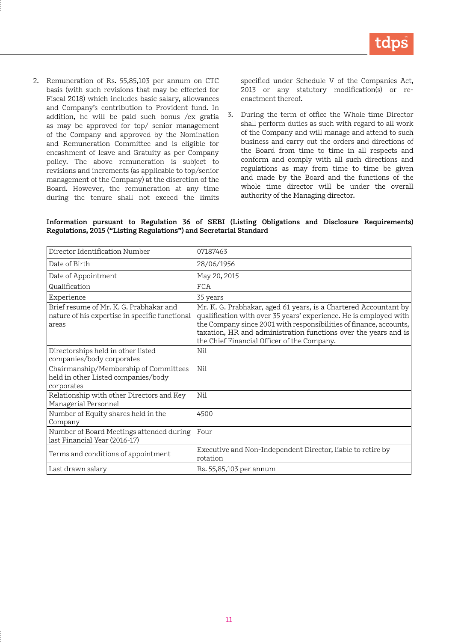2. Remuneration of Rs. 55,85,103 per annum on CTC basis (with such revisions that may be effected for Fiscal 2018) which includes basic salary, allowances and Company's contribution to Provident fund. In addition, he will be paid such bonus /ex gratia as may be approved for top/ senior management of the Company and approved by the Nomination and Remuneration Committee and is eligible for encashment of leave and Gratuity as per Company policy. The above remuneration is subject to revisions and increments (as applicable to top/senior management of the Company) at the discretion of the Board. However, the remuneration at any time during the tenure shall not exceed the limits

specified under Schedule V of the Companies Act, 2013 or any statutory modification(s) or reenactment thereof.

3. During the term of office the Whole time Director shall perform duties as such with regard to all work of the Company and will manage and attend to such business and carry out the orders and directions of the Board from time to time in all respects and conform and comply with all such directions and regulations as may from time to time be given and made by the Board and the functions of the whole time director will be under the overall authority of the Managing director.

#### **Information pursuant to Regulation 36 of SEBI (Listing Obligations and Disclosure Requirements) Regulations, 2015 ("Listing Regulations") and Secretarial Standard**

| Director Identification Number                                                                     | 07187463                                                                                                                                                                                                                                                                                                                      |
|----------------------------------------------------------------------------------------------------|-------------------------------------------------------------------------------------------------------------------------------------------------------------------------------------------------------------------------------------------------------------------------------------------------------------------------------|
| Date of Birth                                                                                      | 28/06/1956                                                                                                                                                                                                                                                                                                                    |
| Date of Appointment                                                                                | May 20, 2015                                                                                                                                                                                                                                                                                                                  |
| Qualification                                                                                      | <b>FCA</b>                                                                                                                                                                                                                                                                                                                    |
| Experience                                                                                         | 35 years                                                                                                                                                                                                                                                                                                                      |
| Brief resume of Mr. K. G. Prabhakar and<br>nature of his expertise in specific functional<br>areas | Mr. K. G. Prabhakar, aged 61 years, is a Chartered Accountant by<br>qualification with over 35 years' experience. He is employed with<br>the Company since 2001 with responsibilities of finance, accounts,<br>taxation, HR and administration functions over the years and is<br>the Chief Financial Officer of the Company. |
| Directorships held in other listed<br>companies/body corporates                                    | Nil                                                                                                                                                                                                                                                                                                                           |
| Chairmanship/Membership of Committees<br>held in other Listed companies/body<br>corporates         | Nil                                                                                                                                                                                                                                                                                                                           |
| Relationship with other Directors and Key<br>Managerial Personnel                                  | Nil                                                                                                                                                                                                                                                                                                                           |
| Number of Equity shares held in the<br>Company                                                     | 4500                                                                                                                                                                                                                                                                                                                          |
| Number of Board Meetings attended during<br>last Financial Year (2016-17)                          | Four                                                                                                                                                                                                                                                                                                                          |
| Terms and conditions of appointment                                                                | Executive and Non-Independent Director, liable to retire by<br>rotation                                                                                                                                                                                                                                                       |
| Last drawn salary                                                                                  | Rs. 55,85,103 per annum                                                                                                                                                                                                                                                                                                       |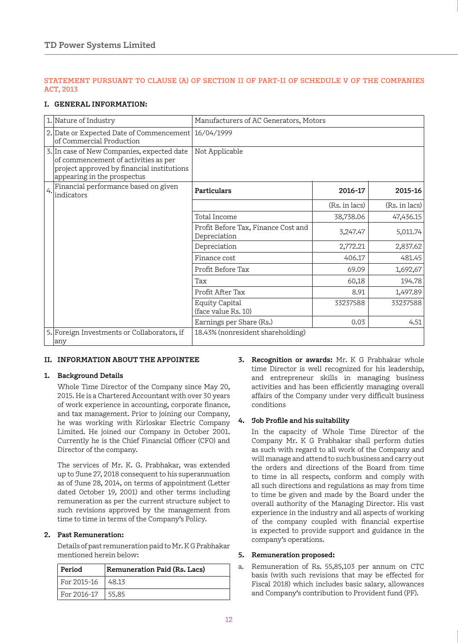# **STATEMENT PURSUANT TO CLAUSE (A) OF SECTION II OF PART-II OF SCHEDULE V OF THE COMPANIES ACT, 2013**

## **I. GENERAL INFORMATION:**

|    | 1. Nature of Industry                                                                                                                                           | Manufacturers of AC Generators, Motors              |               |               |
|----|-----------------------------------------------------------------------------------------------------------------------------------------------------------------|-----------------------------------------------------|---------------|---------------|
|    | 2. Date or Expected Date of Commencement   16/04/1999<br>of Commercial Production                                                                               |                                                     |               |               |
|    | 3. In case of New Companies, expected date<br>of commencement of activities as per<br>project approved by financial institutions<br>appearing in the prospectus | Not Applicable                                      |               |               |
| 4. | Financial performance based on given<br>indicators                                                                                                              | Particulars                                         | 2016-17       | 2015-16       |
|    |                                                                                                                                                                 |                                                     | (Rs. in lacs) | (Rs. in lacs) |
|    |                                                                                                                                                                 | Total Income                                        | 38,738.06     | 47,436.15     |
|    |                                                                                                                                                                 | Profit Before Tax, Finance Cost and<br>Depreciation | 3,247.47      | 5,011.74      |
|    |                                                                                                                                                                 | Depreciation                                        | 2,772.21      | 2,837.62      |
|    |                                                                                                                                                                 | Finance cost                                        | 406.17        | 481.45        |
|    |                                                                                                                                                                 | Profit Before Tax                                   | 69.09         | 1,692,67      |
|    |                                                                                                                                                                 | Tax                                                 | 60,18         | 194.78        |
|    |                                                                                                                                                                 | Profit After Tax                                    | 8.91          | 1,497.89      |
|    |                                                                                                                                                                 | <b>Equity Capital</b><br>(face value Rs. 10)        | 33237588      | 33237588      |
|    |                                                                                                                                                                 | Earnings per Share (Rs.)                            | 0.03          | 4.51          |
|    | 5. Foreign Investments or Collaborators, if<br>any                                                                                                              | 18.43% (nonresident shareholding)                   |               |               |

## **II. INFORMATION ABOUT THE APPOINTEE**

# **1. Background Details**

Whole Time Director of the Company since May 20, 2015. He is a Chartered Accountant with over 30 years of work experience in accounting, corporate finance, and tax management. Prior to joining our Company, he was working with Kirloskar Electric Company Limited. He joined our Company in October 2001. Currently he is the Chief Financial Officer (CFO) and Director of the company.

The services of Mr. K. G. Prabhakar, was extended up to June 27, 2018 consequent to his superannuation as of June 28, 2014, on terms of appointment (Letter dated October 19, 2001) and other terms including remuneration as per the current structure subject to such revisions approved by the management from time to time in terms of the Company's Policy.

# **2. Past Remuneration:**

Details of past remuneration paid to Mr. K G Prabhakar mentioned herein below:

| Period      | Remuneration Paid (Rs. Lacs) |  |
|-------------|------------------------------|--|
| For 2015-16 | 48.13                        |  |
| For 2016-17 | 55.85                        |  |

**3. Recognition or awards:** Mr. K G Prabhakar whole time Director is well recognized for his leadership, and entrepreneur skills in managing business activities and has been efficiently managing overall affairs of the Company under very difficult business conditions

# **4. Job Profile and his suitability**

In the capacity of Whole Time Director of the Company Mr. K G Prabhakar shall perform duties as such with regard to all work of the Company and will manage and attend to such business and carry out the orders and directions of the Board from time to time in all respects, conform and comply with all such directions and regulations as may from time to time be given and made by the Board under the overall authority of the Managing Director. His vast experience in the industry and all aspects of working of the company coupled with financial expertise is expected to provide support and guidance in the company's operations.

## **5. Remuneration proposed:**

a. Remuneration of Rs. 55,85,103 per annum on CTC basis (with such revisions that may be effected for Fiscal 2018) which includes basic salary, allowances and Company's contribution to Provident fund (PF).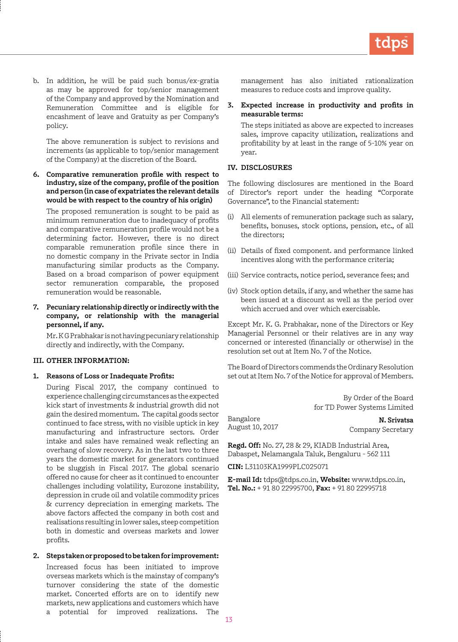b. In addition, he will be paid such bonus/ex-gratia as may be approved for top/senior management of the Company and approved by the Nomination and Remuneration Committee and is eligible for encashment of leave and Gratuity as per Company's policy.

The above remuneration is subject to revisions and increments (as applicable to top/senior management of the Company) at the discretion of the Board.

**6. Comparative remuneration profile with respect to industry, size of the company, profile of the position and person (in case of expatriates the relevant details would be with respect to the country of his origin)** 

The proposed remuneration is sought to be paid as minimum remuneration due to inadequacy of profits and comparative remuneration profile would not be a determining factor. However, there is no direct comparable remuneration profile since there in no domestic company in the Private sector in India manufacturing similar products as the Company. Based on a broad comparison of power equipment sector remuneration comparable, the proposed remuneration would be reasonable.

**7. Pecuniary relationship directly or indirectly with the company, or relationship with the managerial personnel, if any.**

Mr. K G Prabhakar is not having pecuniary relationship directly and indirectly, with the Company.

## **III. OTHER INFORMATION:**

#### **1. Reasons of Loss or Inadequate Profits:**

During Fiscal 2017, the company continued to experience challenging circumstances as the expected kick start of investments & industrial growth did not gain the desired momentum. The capital goods sector continued to face stress, with no visible uptick in key manufacturing and infrastructure sectors. Order intake and sales have remained weak reflecting an overhang of slow recovery. As in the last two to three years the domestic market for generators continued to be sluggish in Fiscal 2017. The global scenario offered no cause for cheer as it continued to encounter challenges including volatility, Eurozone instability, depression in crude oil and volatile commodity prices & currency depreciation in emerging markets. The above factors affected the company in both cost and realisations resulting in lower sales, steep competition both in domestic and overseas markets and lower profits.

#### **2. Steps taken or proposed to be taken for improvement:**

Increased focus has been initiated to improve overseas markets which is the mainstay of company's turnover considering the state of the domestic market. Concerted efforts are on to identify new markets, new applications and customers which have a potential for improved realizations. The

management has also initiated rationalization measures to reduce costs and improve quality.

## **3. Expected increase in productivity and profits in measurable terms:**

The steps initiated as above are expected to increases sales, improve capacity utilization, realizations and profitability by at least in the range of 5-10% year on year.

#### **IV. DISCLOSURES**

The following disclosures are mentioned in the Board of Director's report under the heading "Corporate Governance", to the Financial statement:

- (i) All elements of remuneration package such as salary, benefits, bonuses, stock options, pension, etc., of all the directors;
- (ii) Details of fixed component. and performance linked incentives along with the performance criteria;
- (iii) Service contracts, notice period, severance fees; and
- (iv) Stock option details, if any, and whether the same has been issued at a discount as well as the period over which accrued and over which exercisable.

Except Mr. K. G. Prabhakar, none of the Directors or Key Managerial Personnel or their relatives are in any way concerned or interested (financially or otherwise) in the resolution set out at Item No. 7 of the Notice.

The Board of Directors commends the Ordinary Resolution set out at Item No. 7 of the Notice for approval of Members.

> By Order of the Board for TD Power Systems Limited

Bangalore August 10, 2017

**N. Srivatsa** Company Secretary

**Regd. Off:** No. 27, 28 & 29, KIADB Industrial Area, Dabaspet, Nelamangala Taluk, Bengaluru - 562 111

**CIN:** L31103KA1999PLC025071

**E-mail Id:** tdps@tdps.co.in, **Website:** www.tdps.co.in, **Tel. No.:** + 91 80 22995700, **Fax:** + 91 80 22995718